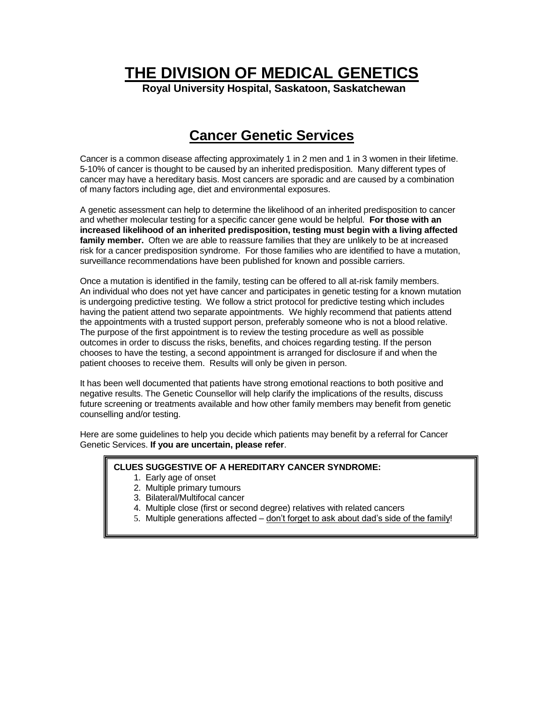**THE DIVISION OF MEDICAL GENETICS**

**Royal University Hospital, Saskatoon, Saskatchewan**

## **Cancer Genetic Services**

Cancer is a common disease affecting approximately 1 in 2 men and 1 in 3 women in their lifetime. 5-10% of cancer is thought to be caused by an inherited predisposition. Many different types of cancer may have a hereditary basis. Most cancers are sporadic and are caused by a combination of many factors including age, diet and environmental exposures.

A genetic assessment can help to determine the likelihood of an inherited predisposition to cancer and whether molecular testing for a specific cancer gene would be helpful. **For those with an increased likelihood of an inherited predisposition, testing must begin with a living affected family member.** Often we are able to reassure families that they are unlikely to be at increased risk for a cancer predisposition syndrome. For those families who are identified to have a mutation, surveillance recommendations have been published for known and possible carriers.

Once a mutation is identified in the family, testing can be offered to all at-risk family members. An individual who does not yet have cancer and participates in genetic testing for a known mutation is undergoing predictive testing. We follow a strict protocol for predictive testing which includes having the patient attend two separate appointments. We highly recommend that patients attend the appointments with a trusted support person, preferably someone who is not a blood relative. The purpose of the first appointment is to review the testing procedure as well as possible outcomes in order to discuss the risks, benefits, and choices regarding testing. If the person chooses to have the testing, a second appointment is arranged for disclosure if and when the patient chooses to receive them. Results will only be given in person.

It has been well documented that patients have strong emotional reactions to both positive and negative results. The Genetic Counsellor will help clarify the implications of the results, discuss future screening or treatments available and how other family members may benefit from genetic counselling and/or testing.

Here are some guidelines to help you decide which patients may benefit by a referral for Cancer Genetic Services. **If you are uncertain, please refer**.

## **CLUES SUGGESTIVE OF A HEREDITARY CANCER SYNDROME:**

- 1. Early age of onset
- 2. Multiple primary tumours
- 3. Bilateral/Multifocal cancer
- 4. Multiple close (first or second degree) relatives with related cancers
- 5. Multiple generations affected don't forget to ask about dad's side of the family!